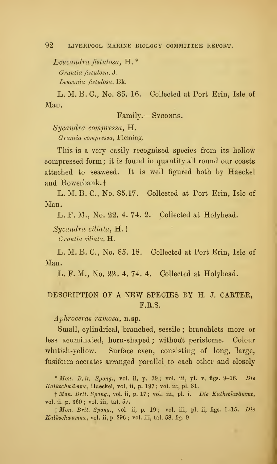Leucandra fistulosa, H. \* Grantia fistulosa, J. Leuconia fistulosa, Bk.

L. M. B. C, No. 85. 16. Collected at Port Erin, Isle of Man.

Family. Sycones.

Sycandra compressa, H. Grantia compressa, Fleming.

This is a very easily recognised species from its hollow compressed form ; it is found in quantity all round our coasts attached to seaweed. It is well figured both by Haeckel and Bowerbank.<sup>†</sup>

L. M. B. C, No. 85.17. Collected at Port Erin, Isle of Man.

L. F. M., No. 22. 4. 74. 2. Collected at Holyhead.

 $Sycandra$  ciliata,  $H.$ 

Grantia ciliata, H.

L. M. B. C, No. 85. 18. Collected at Port Erin, Isle of Man.

L. F. M., No. 22. 4. 74. 4. Collected at Holyhead.

## DESCRIPTION OF A NEW SPECIES BY H. J. CARTER, F.R.S.

Aphroceras ramosa, n.sp.

Small, cylindrical, branched, sessile ; branchlets more or less acuminated, horn-shaped; without peristome. Colour whitish-yellow. Surface even, consisting of long, large, fusiform acerates arranged parallel to each other and closely

\* Mon. Brit. Spong., vol. ii, p. 39; vol. iii, pl. v, figs.  $9-16$ . Die Kalkschwatnme, Haeckel, vol. ii, p. 197; vol. iii, pi. 31.

† Mon. Brit. Spong., vol. ii, p. 17; vol. iii, pl. i. Die Kalkschwämme, vol. ii, p. 360 ; vol. iii, taf. 57.

<sup>+</sup> Mon. Brit. Spong., vol. ii, p. 19 ; vol. iii, pi. ii, figs. 1-15. Die Kalkschwämme, vol. ii, p. 296; vol. iii, taf. 58, fig. 9.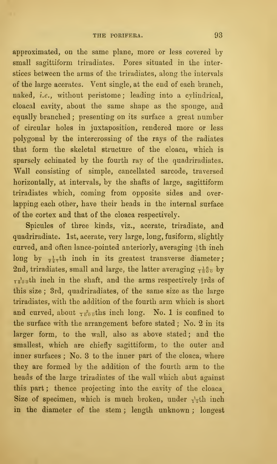approximated, on the same plane, more or less covered by small sagittiform triradiates. Pores situated in the interstices between the arms of the triradiates, along the intervals of the large acerates. Vent single, at the end of each branch, naked, i.e., without peristome; leading into a cylindrical, cloacal cavity, about the same shape as the sponge, and equally branched ; presenting on its surface a great number of circular holes in juxtaposition, rendered more or less polygonal by the intercrossing of the rays of the radiates that form the skeletal structure of the cloaca, which is sparsely echinated by the fourth ray of the quadriradiates. Wall consisting of simple, cancellated sarcode, traversed horizontally, at intervals, by the shafts of large, sagittiform triradiates which, coming from opposite sides and over lapping each other, have their heads in the internal surface of the cortex and that of the cloaca respectively.

Spicules of three kinds, viz., acerate, triradiate, and quadriradiate. 1st, acerate, very large, long, fusiform, slightly curved, and often lance-pointed anteriorly, averaging  $\frac{1}{9}$ th inch long by  $\frac{1}{2}$ th inch in its greatest transverse diameter; 2nd, triradiates, small and large, the latter averaging  $\tau^{\frac{18}{800}}$  by  $T^{\frac{1}{2}}$  and inch in the shaft, and the arms respectively  $\frac{2}{3}$ rds of this size ; 3rd, quadriradiates, of the same size as the large triradiates, with the addition of the fourth arm which is short and curved, about  $\frac{3}{1800}$ ths inch long. No. 1 is confined to the surface with the arrangement before stated ; No. 2 in its larger form, to the wall, also as above stated; and the smallest, which are chiefly sagittiform, to the outer and inner surfaces ; No. 3 to the inner part of the cloaca, where they are formed by the addition of the fourth arm to the heads of the large triradiates of the wall which abut against this part; thence projecting into the cavity of the cloaca Size of specimen, which is much broken, under  $\frac{1}{12}$ th inch in the diameter of the stem ; length unknown ; longest